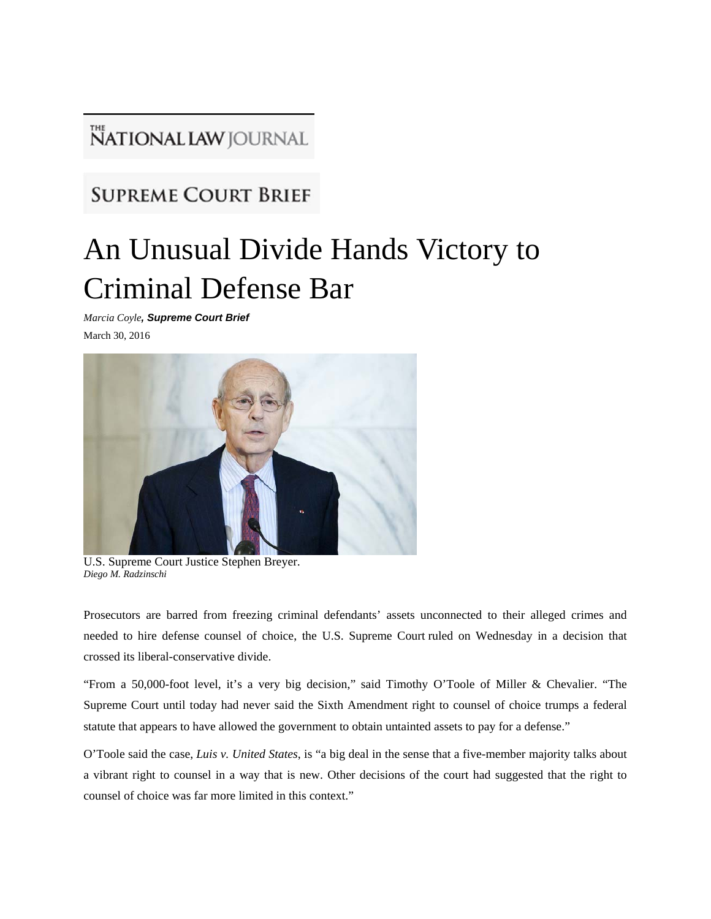## **NATIONAL LAW** JOURNAL

## **SUPREME COURT BRIEF**

## An Unusual Divide Hands Victory to Criminal Defense Bar

*Marcia Coyle, Supreme Court Brief* March 30, 2016



U.S. Supreme Court Justice Stephen Breyer. *Diego M. Radzinschi*

Prosecutors are barred from freezing criminal defendants' assets unconnected to their alleged crimes and needed to hire defense counsel of choice, the U.S. Supreme Court ruled on Wednesday in a decision that crossed its liberal-conservative divide.

"From a 50,000-foot level, it's a very big decision," said Timothy O'Toole of Miller & Chevalier. "The Supreme Court until today had never said the Sixth Amendment right to counsel of choice trumps a federal statute that appears to have allowed the government to obtain untainted assets to pay for a defense."

O'Toole said the case, *Luis v. United States*, is "a big deal in the sense that a five-member majority talks about a vibrant right to counsel in a way that is new. Other decisions of the court had suggested that the right to counsel of choice was far more limited in this context."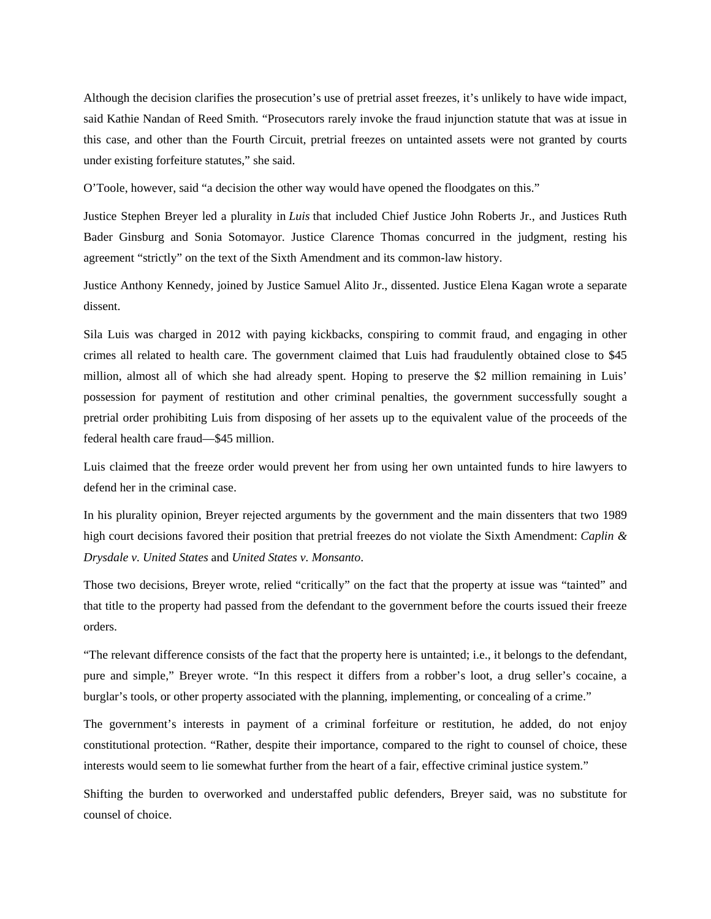Although the decision clarifies the prosecution's use of pretrial asset freezes, it's unlikely to have wide impact, said Kathie Nandan of Reed Smith. "Prosecutors rarely invoke the fraud injunction statute that was at issue in this case, and other than the Fourth Circuit, pretrial freezes on untainted assets were not granted by courts under existing forfeiture statutes," she said.

O'Toole, however, said "a decision the other way would have opened the floodgates on this."

Justice Stephen Breyer led a plurality in *Luis* that included Chief Justice John Roberts Jr., and Justices Ruth Bader Ginsburg and Sonia Sotomayor. Justice Clarence Thomas concurred in the judgment, resting his agreement "strictly" on the text of the Sixth Amendment and its common-law history.

Justice Anthony Kennedy, joined by Justice Samuel Alito Jr., dissented. Justice Elena Kagan wrote a separate dissent.

Sila Luis was charged in 2012 with paying kickbacks, conspiring to commit fraud, and engaging in other crimes all related to health care. The government claimed that Luis had fraudulently obtained close to \$45 million, almost all of which she had already spent. Hoping to preserve the \$2 million remaining in Luis' possession for payment of restitution and other criminal penalties, the government successfully sought a pretrial order prohibiting Luis from disposing of her assets up to the equivalent value of the proceeds of the federal health care fraud—\$45 million.

Luis claimed that the freeze order would prevent her from using her own untainted funds to hire lawyers to defend her in the criminal case.

In his plurality opinion, Breyer rejected arguments by the government and the main dissenters that two 1989 high court decisions favored their position that pretrial freezes do not violate the Sixth Amendment: *Caplin & Drysdale v. United States* and *United States v. Monsanto*.

Those two decisions, Breyer wrote, relied "critically" on the fact that the property at issue was "tainted" and that title to the property had passed from the defendant to the government before the courts issued their freeze orders.

"The relevant difference consists of the fact that the property here is untainted; i.e., it belongs to the defendant, pure and simple," Breyer wrote. "In this respect it differs from a robber's loot, a drug seller's cocaine, a burglar's tools, or other property associated with the planning, implementing, or concealing of a crime."

The government's interests in payment of a criminal forfeiture or restitution, he added, do not enjoy constitutional protection. "Rather, despite their importance, compared to the right to counsel of choice, these interests would seem to lie somewhat further from the heart of a fair, effective criminal justice system."

Shifting the burden to overworked and understaffed public defenders, Breyer said, was no substitute for counsel of choice.